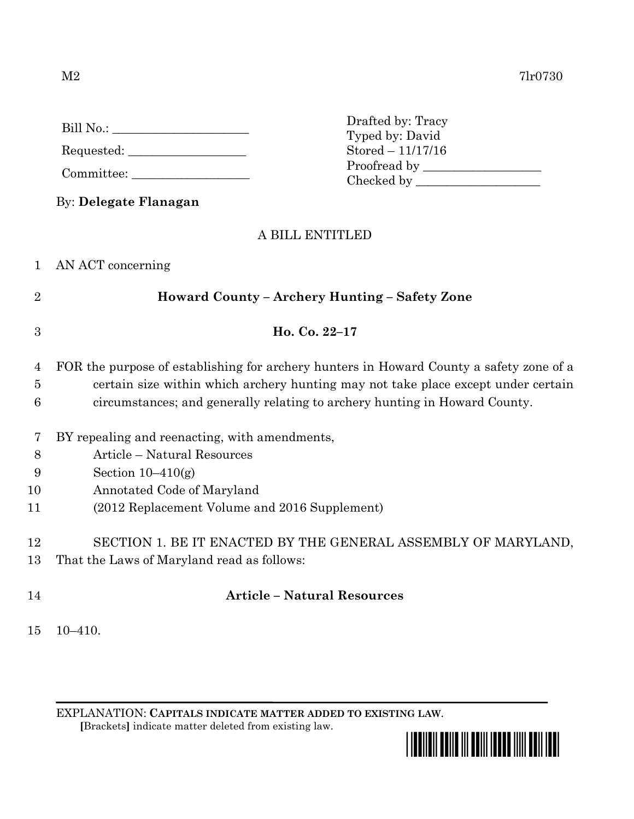|                | By: Delegate Flanagan                                                                   |
|----------------|-----------------------------------------------------------------------------------------|
|                | A BILL ENTITLED                                                                         |
| 1              | AN ACT concerning                                                                       |
| $\overline{2}$ | Howard County - Archery Hunting - Safety Zone                                           |
| 3              | Ho. Co. 22-17                                                                           |
| 4              | FOR the purpose of establishing for archery hunters in Howard County a safety zone of a |
| $\overline{5}$ | certain size within which archery hunting may not take place except under certain       |
| 6              | circumstances; and generally relating to archery hunting in Howard County.              |
| 7              | BY repealing and reenacting, with amendments,                                           |
| 8              | Article - Natural Resources                                                             |
| 9              | Section $10-410(g)$                                                                     |
| 10             | Annotated Code of Maryland                                                              |
| 11             | (2012 Replacement Volume and 2016 Supplement)                                           |
| 12             | SECTION 1. BE IT ENACTED BY THE GENERAL ASSEMBLY OF MARYLAND,                           |

Drafted by: Tracy Typed by: David Stored – 11/17/16

- 13 That the Laws of Maryland read as follows:
- 

## 14 **Article – Natural Resources**

15 10–410.

EXPLANATION: **CAPITALS INDICATE MATTER ADDED TO EXISTING LAW**.  **[**Brackets**]** indicate matter deleted from existing law.



Bill No.: \_\_\_\_\_\_\_\_\_\_\_\_\_\_\_\_\_\_\_\_\_\_

Requested: \_\_\_\_\_\_\_\_\_\_\_\_\_\_\_\_\_\_\_